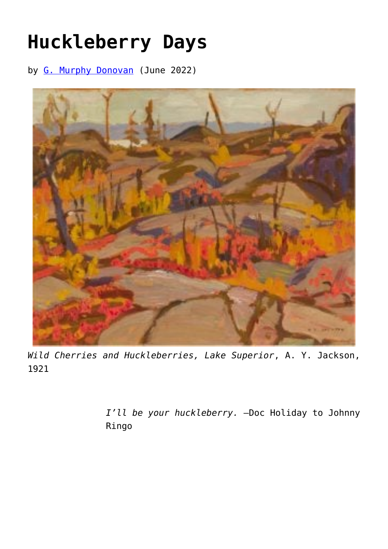## **[Huckleberry Days](https://www.newenglishreview.org/articles/41201-2/)**

by [G. Murphy Donovan](https://www.newenglishreview.org/authors/g-murphy-donovan/) (June 2022)



*Wild Cherries and Huckleberries, Lake Superior*, A. Y. Jackson, 1921

> *I'll be your huckleberry.* —Doc Holiday to Johnny Ringo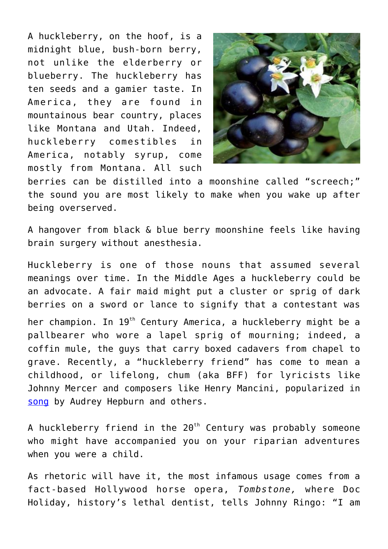A huckleberry, on the hoof, is a midnight blue, bush-born berry, not unlike the elderberry or blueberry. The huckleberry has ten seeds and a gamier taste. In America, they are found in mountainous bear country, places like Montana and Utah. Indeed, huckleberry comestibles in America, notably syrup, come mostly from Montana. All such



berries can be distilled into a moonshine called "screech;" the sound you are most likely to make when you wake up after being overserved.

A hangover from black & blue berry moonshine feels like having brain surgery without anesthesia.

Huckleberry is one of those nouns that assumed several meanings over time. In the Middle Ages a huckleberry could be an advocate. A fair maid might put a cluster or sprig of dark berries on a sword or lance to signify that a contestant was her champion. In 19<sup>th</sup> Century America, a huckleberry might be a pallbearer who wore a lapel sprig of mourning; indeed, a coffin mule, the guys that carry boxed cadavers from chapel to grave. Recently, a "huckleberry friend" has come to mean a childhood, or lifelong, chum (aka BFF) for lyricists like Johnny Mercer and composers like Henry Mancini, popularized in [song](https://www.youtube.com/watch?v=0BfUDyvdTSE) by Audrey Hepburn and others.

A huckleberry friend in the  $20<sup>th</sup>$  Century was probably someone who might have accompanied you on your riparian adventures when you were a child.

As rhetoric will have it, the most infamous usage comes from a fact-based Hollywood horse opera, *Tombstone,* where Doc Holiday, history's lethal dentist, tells Johnny Ringo: "I am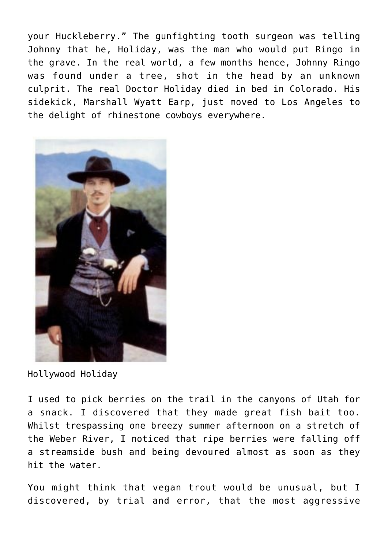your Huckleberry." The gunfighting tooth surgeon was telling Johnny that he, Holiday, was the man who would put Ringo in the grave. In the real world, a few months hence, Johnny Ringo was found under a tree, shot in the head by an unknown culprit. The real Doctor Holiday died in bed in Colorado. His sidekick, Marshall Wyatt Earp, just moved to Los Angeles to the delight of rhinestone cowboys everywhere.



Hollywood Holiday

I used to pick berries on the trail in the canyons of Utah for a snack. I discovered that they made great fish bait too. Whilst trespassing one breezy summer afternoon on a stretch of the Weber River, I noticed that ripe berries were falling off a streamside bush and being devoured almost as soon as they hit the water.

You might think that vegan trout would be unusual, but I discovered, by trial and error, that the most aggressive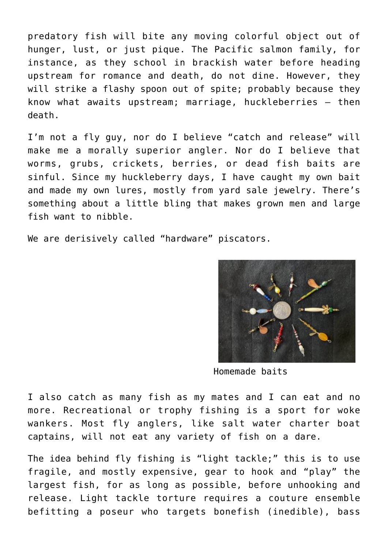predatory fish will bite any moving colorful object out of hunger, lust, or just pique. The Pacific salmon family, for instance, as they school in brackish water before heading upstream for romance and death, do not dine. However, they will strike a flashy spoon out of spite; probably because they know what awaits upstream; marriage, huckleberries – then death.

I'm not a fly guy, nor do I believe "catch and release" will make me a morally superior angler. Nor do I believe that worms, grubs, crickets, berries, or dead fish baits are sinful. Since my huckleberry days, I have caught my own bait and made my own lures, mostly from yard sale jewelry. There's something about a little bling that makes grown men and large fish want to nibble.

We are derisively called "hardware" piscators.



Homemade baits

I also catch as many fish as my mates and I can eat and no more. Recreational or trophy fishing is a sport for woke wankers. Most fly anglers, like salt water charter boat captains, will not eat any variety of fish on a dare.

The idea behind fly fishing is "light tackle;" this is to use fragile, and mostly expensive, gear to hook and "play" the largest fish, for as long as possible, before unhooking and release. Light tackle torture requires a couture ensemble befitting a poseur who targets bonefish (inedible), bass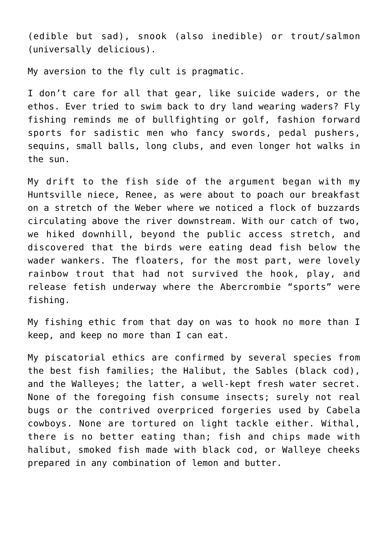(edible but sad), snook (also inedible) or trout/salmon (universally delicious).

My aversion to the fly cult is pragmatic.

I don't care for all that gear, like suicide waders, or the ethos. Ever tried to swim back to dry land wearing waders? Fly fishing reminds me of bullfighting or golf, fashion forward sports for sadistic men who fancy swords, pedal pushers, sequins, small balls, long clubs, and even longer hot walks in the sun.

My drift to the fish side of the argument began with my Huntsville niece, Renee, as were about to poach our breakfast on a stretch of the Weber where we noticed a flock of buzzards circulating above the river downstream. With our catch of two, we hiked downhill, beyond the public access stretch, and discovered that the birds were eating dead fish below the wader wankers. The floaters, for the most part, were lovely rainbow trout that had not survived the hook, play, and release fetish underway where the Abercrombie "sports" were fishing.

My fishing ethic from that day on was to hook no more than I keep, and keep no more than I can eat.

My piscatorial ethics are confirmed by several species from the best fish families; the Halibut, the Sables (black cod), and the Walleyes; the latter, a well-kept fresh water secret. None of the foregoing fish consume insects; surely not real bugs or the contrived overpriced forgeries used by Cabela cowboys. None are tortured on light tackle either. Withal, there is no better eating than; fish and chips made with halibut, smoked fish made with black cod, or Walleye cheeks prepared in any combination of lemon and butter.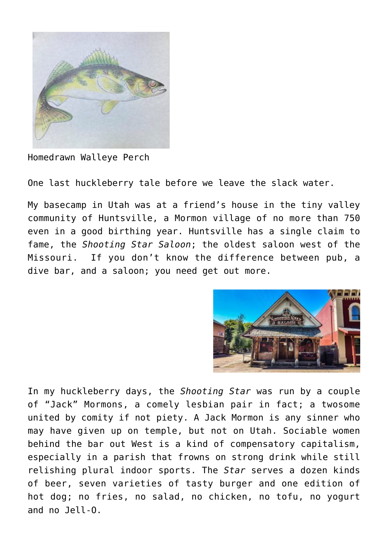

Homedrawn Walleye Perch

One last huckleberry tale before we leave the slack water.

My basecamp in Utah was at a friend's house in the tiny valley community of Huntsville, a Mormon village of no more than 750 even in a good birthing year. Huntsville has a single claim to fame, the *Shooting Star Saloon*; the oldest saloon west of the Missouri. If you don't know the difference between pub, a dive bar, and a saloon; you need get out more.



In my huckleberry days, the *Shooting Star* was run by a couple of "Jack" Mormons, a comely lesbian pair in fact; a twosome united by comity if not piety. A Jack Mormon is any sinner who may have given up on temple, but not on Utah. Sociable women behind the bar out West is a kind of compensatory capitalism, especially in a parish that frowns on strong drink while still relishing plural indoor sports. The *Star* serves a dozen kinds of beer, seven varieties of tasty burger and one edition of hot dog; no fries, no salad, no chicken, no tofu, no yogurt and no Jell-O.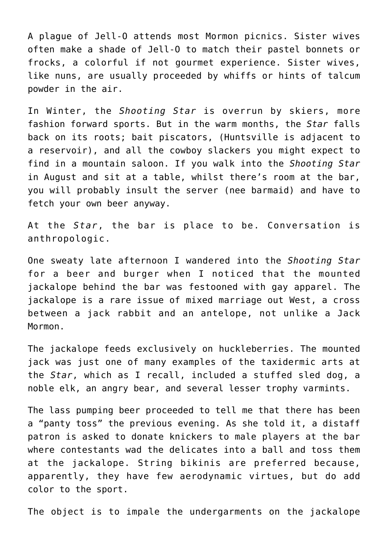A plague of Jell-O attends most Mormon picnics. Sister wives often make a shade of Jell-O to match their pastel bonnets or frocks, a colorful if not gourmet experience. Sister wives, like nuns, are usually proceeded by whiffs or hints of talcum powder in the air.

In Winter, the *Shooting Star* is overrun by skiers, more fashion forward sports. But in the warm months, the *Star* falls back on its roots; bait piscators, (Huntsville is adjacent to a reservoir), and all the cowboy slackers you might expect to find in a mountain saloon. If you walk into the *Shooting Star* in August and sit at a table, whilst there's room at the bar, you will probably insult the server (nee barmaid) and have to fetch your own beer anyway.

At the *Star*, the bar is place to be. Conversation is anthropologic.

One sweaty late afternoon I wandered into the *Shooting Star* for a beer and burger when I noticed that the mounted jackalope behind the bar was festooned with gay apparel. The jackalope is a rare issue of mixed marriage out West, a cross between a jack rabbit and an antelope, not unlike a Jack Mormon.

The jackalope feeds exclusively on huckleberries. The mounted jack was just one of many examples of the taxidermic arts at the *Star*, which as I recall, included a stuffed sled dog, a noble elk, an angry bear, and several lesser trophy varmints.

The lass pumping beer proceeded to tell me that there has been a "panty toss" the previous evening. As she told it, a distaff patron is asked to donate knickers to male players at the bar where contestants wad the delicates into a ball and toss them at the jackalope. String bikinis are preferred because, apparently, they have few aerodynamic virtues, but do add color to the sport.

The object is to impale the undergarments on the jackalope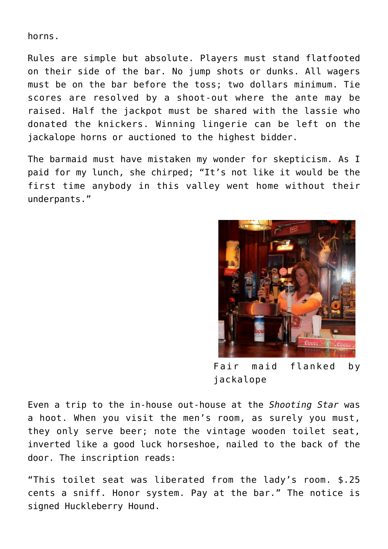horns.

Rules are simple but absolute. Players must stand flatfooted on their side of the bar. No jump shots or dunks. All wagers must be on the bar before the toss; two dollars minimum. Tie scores are resolved by a shoot-out where the ante may be raised. Half the jackpot must be shared with the lassie who donated the knickers. Winning lingerie can be left on the jackalope horns or auctioned to the highest bidder.

The barmaid must have mistaken my wonder for skepticism. As I paid for my lunch, she chirped; "It's not like it would be the first time anybody in this valley went home without their underpants."



Fair maid flanked by jackalope

Even a trip to the in-house out-house at the *Shooting Star* was a hoot. When you visit the men's room, as surely you must, they only serve beer; note the vintage wooden toilet seat, inverted like a good luck horseshoe, nailed to the back of the door. The inscription reads:

"This toilet seat was liberated from the lady's room. \$.25 cents a sniff. Honor system. Pay at the bar." The notice is signed Huckleberry Hound.